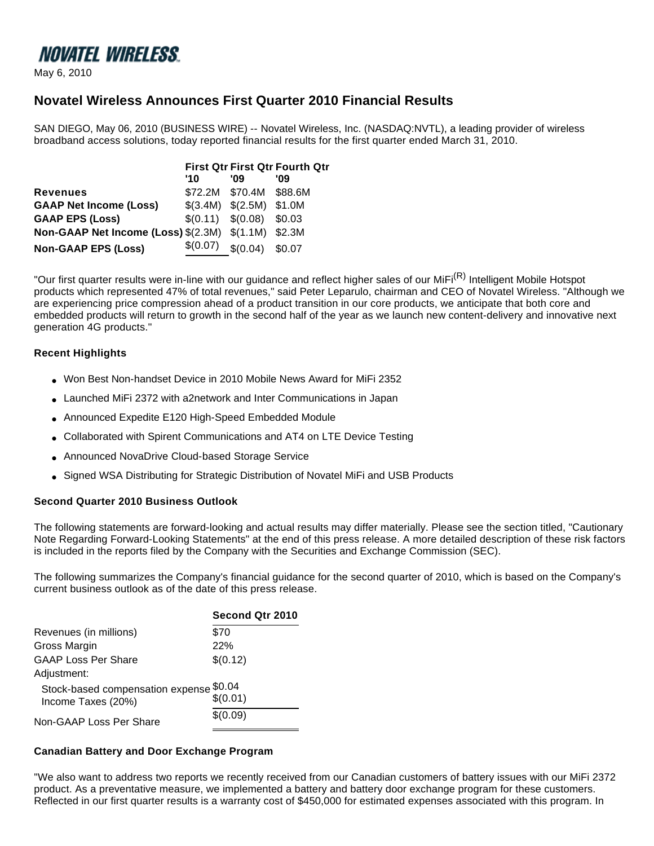**NOVATEL WIRELESS** 

May 6, 2010

# **Novatel Wireless Announces First Quarter 2010 Financial Results**

SAN DIEGO, May 06, 2010 (BUSINESS WIRE) -- Novatel Wireless, Inc. (NASDAQ:NVTL), a leading provider of wireless broadband access solutions, today reported financial results for the first quarter ended March 31, 2010.

|                                                     |          |                             | First Qtr First Qtr Fourth Qtr |
|-----------------------------------------------------|----------|-----------------------------|--------------------------------|
|                                                     | '10      | מי.                         | מחי                            |
| <b>Revenues</b>                                     |          | \$72.2M \$70.4M \$88.6M     |                                |
| <b>GAAP Net Income (Loss)</b>                       |          | $$(3.4M)$ $$(2.5M)$ $$1.0M$ |                                |
| <b>GAAP EPS (Loss)</b>                              |          | $$(0.11) \$(0.08) \$0.03$   |                                |
| Non-GAAP Net Income (Loss) \$(2.3M) \$(1.1M) \$2.3M |          |                             |                                |
| <b>Non-GAAP EPS (Loss)</b>                          | \$(0.07) | \$(0.04)                    | \$0.07                         |

"Our first quarter results were in-line with our guidance and reflect higher sales of our MiFi<sup>(R)</sup> Intelligent Mobile Hotspot products which represented 47% of total revenues," said Peter Leparulo, chairman and CEO of Novatel Wireless. "Although we are experiencing price compression ahead of a product transition in our core products, we anticipate that both core and embedded products will return to growth in the second half of the year as we launch new content-delivery and innovative next generation 4G products."

## **Recent Highlights**

- Won Best Non-handset Device in 2010 Mobile News Award for MiFi 2352
- Launched MiFi 2372 with a2network and Inter Communications in Japan
- Announced Expedite E120 High-Speed Embedded Module
- Collaborated with Spirent Communications and AT4 on LTE Device Testing
- Announced NovaDrive Cloud-based Storage Service
- Signed WSA Distributing for Strategic Distribution of Novatel MiFi and USB Products

## **Second Quarter 2010 Business Outlook**

The following statements are forward-looking and actual results may differ materially. Please see the section titled, "Cautionary Note Regarding Forward-Looking Statements" at the end of this press release. A more detailed description of these risk factors is included in the reports filed by the Company with the Securities and Exchange Commission (SEC).

The following summarizes the Company's financial guidance for the second quarter of 2010, which is based on the Company's current business outlook as of the date of this press release.

|                                         | Second Qtr 2010 |
|-----------------------------------------|-----------------|
| Revenues (in millions)                  | \$70            |
| Gross Margin                            | 22%             |
| <b>GAAP Loss Per Share</b>              | \$(0.12)        |
| Adjustment:                             |                 |
| Stock-based compensation expense \$0.04 |                 |
| Income Taxes (20%)                      | \$(0.01)        |
| Non-GAAP Loss Per Share                 | \$(0.09)        |

#### **Canadian Battery and Door Exchange Program**

"We also want to address two reports we recently received from our Canadian customers of battery issues with our MiFi 2372 product. As a preventative measure, we implemented a battery and battery door exchange program for these customers. Reflected in our first quarter results is a warranty cost of \$450,000 for estimated expenses associated with this program. In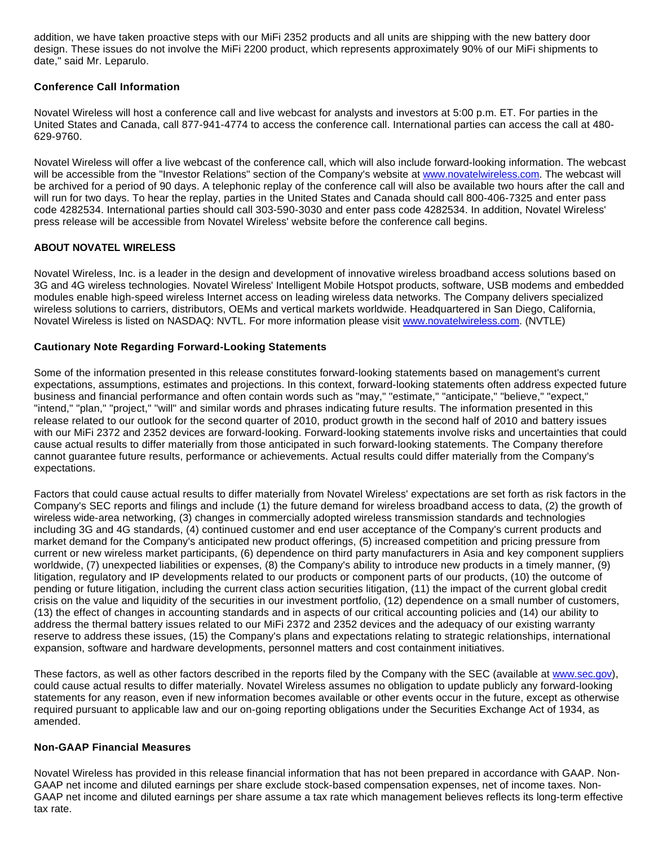addition, we have taken proactive steps with our MiFi 2352 products and all units are shipping with the new battery door design. These issues do not involve the MiFi 2200 product, which represents approximately 90% of our MiFi shipments to date," said Mr. Leparulo.

## **Conference Call Information**

Novatel Wireless will host a conference call and live webcast for analysts and investors at 5:00 p.m. ET. For parties in the United States and Canada, call 877-941-4774 to access the conference call. International parties can access the call at 480- 629-9760.

Novatel Wireless will offer a live webcast of the conference call, which will also include forward-looking information. The webcast will be accessible from the "Investor Relations" section of the Company's website at [www.novatelwireless.com](http://cts.businesswire.com/ct/CT?id=smartlink&url=http%3A%2F%2Fwww.novatelwireless.com&esheet=6281161&lan=en_US&anchor=www.novatelwireless.com&index=1&md5=8471823142dc3b2ddb0e2f2b9981f789). The webcast will be archived for a period of 90 days. A telephonic replay of the conference call will also be available two hours after the call and will run for two days. To hear the replay, parties in the United States and Canada should call 800-406-7325 and enter pass code 4282534. International parties should call 303-590-3030 and enter pass code 4282534. In addition, Novatel Wireless' press release will be accessible from Novatel Wireless' website before the conference call begins.

## **ABOUT NOVATEL WIRELESS**

Novatel Wireless, Inc. is a leader in the design and development of innovative wireless broadband access solutions based on 3G and 4G wireless technologies. Novatel Wireless' Intelligent Mobile Hotspot products, software, USB modems and embedded modules enable high-speed wireless Internet access on leading wireless data networks. The Company delivers specialized wireless solutions to carriers, distributors, OEMs and vertical markets worldwide. Headquartered in San Diego, California, Novatel Wireless is listed on NASDAQ: NVTL. For more information please visit [www.novatelwireless.com](http://cts.businesswire.com/ct/CT?id=smartlink&url=http%3A%2F%2Fwww.novatelwireless.com&esheet=6281161&lan=en_US&anchor=www.novatelwireless.com&index=2&md5=b2518b1241ee41c529af073da70d961c). (NVTLE)

## **Cautionary Note Regarding Forward-Looking Statements**

Some of the information presented in this release constitutes forward-looking statements based on management's current expectations, assumptions, estimates and projections. In this context, forward-looking statements often address expected future business and financial performance and often contain words such as "may," "estimate," "anticipate," "believe," "expect," "intend," "plan," "project," "will" and similar words and phrases indicating future results. The information presented in this release related to our outlook for the second quarter of 2010, product growth in the second half of 2010 and battery issues with our MiFi 2372 and 2352 devices are forward-looking. Forward-looking statements involve risks and uncertainties that could cause actual results to differ materially from those anticipated in such forward-looking statements. The Company therefore cannot guarantee future results, performance or achievements. Actual results could differ materially from the Company's expectations.

Factors that could cause actual results to differ materially from Novatel Wireless' expectations are set forth as risk factors in the Company's SEC reports and filings and include (1) the future demand for wireless broadband access to data, (2) the growth of wireless wide-area networking, (3) changes in commercially adopted wireless transmission standards and technologies including 3G and 4G standards, (4) continued customer and end user acceptance of the Company's current products and market demand for the Company's anticipated new product offerings, (5) increased competition and pricing pressure from current or new wireless market participants, (6) dependence on third party manufacturers in Asia and key component suppliers worldwide, (7) unexpected liabilities or expenses, (8) the Company's ability to introduce new products in a timely manner, (9) litigation, regulatory and IP developments related to our products or component parts of our products, (10) the outcome of pending or future litigation, including the current class action securities litigation, (11) the impact of the current global credit crisis on the value and liquidity of the securities in our investment portfolio, (12) dependence on a small number of customers, (13) the effect of changes in accounting standards and in aspects of our critical accounting policies and (14) our ability to address the thermal battery issues related to our MiFi 2372 and 2352 devices and the adequacy of our existing warranty reserve to address these issues, (15) the Company's plans and expectations relating to strategic relationships, international expansion, software and hardware developments, personnel matters and cost containment initiatives.

These factors, as well as other factors described in the reports filed by the Company with the SEC (available at [www.sec.gov](http://cts.businesswire.com/ct/CT?id=smartlink&url=http%3A%2F%2Fwww.sec.gov&esheet=6281161&lan=en_US&anchor=www.sec.gov&index=3&md5=39e19641fd02a8c0f863094e7fad46a9)), could cause actual results to differ materially. Novatel Wireless assumes no obligation to update publicly any forward-looking statements for any reason, even if new information becomes available or other events occur in the future, except as otherwise required pursuant to applicable law and our on-going reporting obligations under the Securities Exchange Act of 1934, as amended.

#### **Non-GAAP Financial Measures**

Novatel Wireless has provided in this release financial information that has not been prepared in accordance with GAAP. Non-GAAP net income and diluted earnings per share exclude stock-based compensation expenses, net of income taxes. Non-GAAP net income and diluted earnings per share assume a tax rate which management believes reflects its long-term effective tax rate.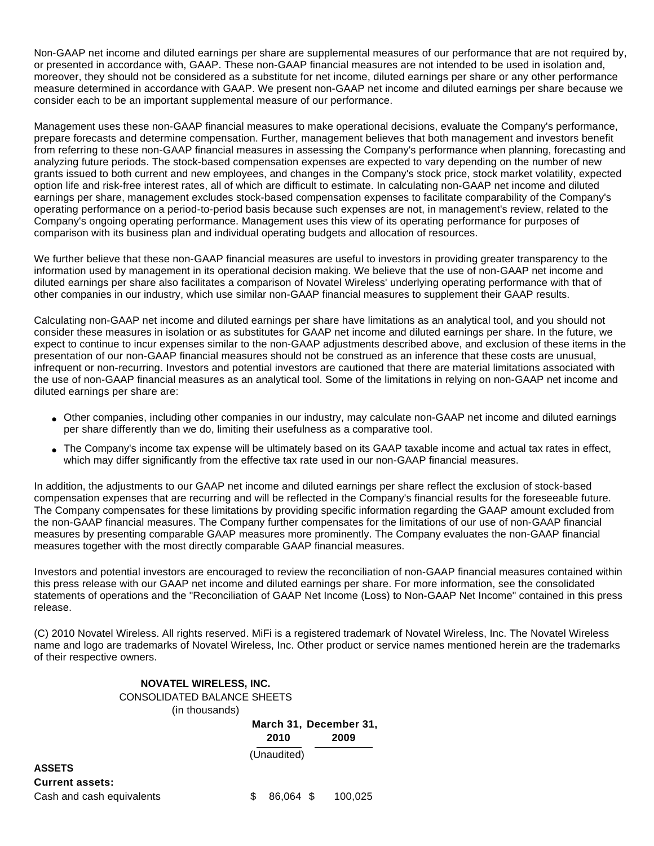Non-GAAP net income and diluted earnings per share are supplemental measures of our performance that are not required by, or presented in accordance with, GAAP. These non-GAAP financial measures are not intended to be used in isolation and, moreover, they should not be considered as a substitute for net income, diluted earnings per share or any other performance measure determined in accordance with GAAP. We present non-GAAP net income and diluted earnings per share because we consider each to be an important supplemental measure of our performance.

Management uses these non-GAAP financial measures to make operational decisions, evaluate the Company's performance, prepare forecasts and determine compensation. Further, management believes that both management and investors benefit from referring to these non-GAAP financial measures in assessing the Company's performance when planning, forecasting and analyzing future periods. The stock-based compensation expenses are expected to vary depending on the number of new grants issued to both current and new employees, and changes in the Company's stock price, stock market volatility, expected option life and risk-free interest rates, all of which are difficult to estimate. In calculating non-GAAP net income and diluted earnings per share, management excludes stock-based compensation expenses to facilitate comparability of the Company's operating performance on a period-to-period basis because such expenses are not, in management's review, related to the Company's ongoing operating performance. Management uses this view of its operating performance for purposes of comparison with its business plan and individual operating budgets and allocation of resources.

We further believe that these non-GAAP financial measures are useful to investors in providing greater transparency to the information used by management in its operational decision making. We believe that the use of non-GAAP net income and diluted earnings per share also facilitates a comparison of Novatel Wireless' underlying operating performance with that of other companies in our industry, which use similar non-GAAP financial measures to supplement their GAAP results.

Calculating non-GAAP net income and diluted earnings per share have limitations as an analytical tool, and you should not consider these measures in isolation or as substitutes for GAAP net income and diluted earnings per share. In the future, we expect to continue to incur expenses similar to the non-GAAP adjustments described above, and exclusion of these items in the presentation of our non-GAAP financial measures should not be construed as an inference that these costs are unusual, infrequent or non-recurring. Investors and potential investors are cautioned that there are material limitations associated with the use of non-GAAP financial measures as an analytical tool. Some of the limitations in relying on non-GAAP net income and diluted earnings per share are:

- Other companies, including other companies in our industry, may calculate non-GAAP net income and diluted earnings per share differently than we do, limiting their usefulness as a comparative tool.
- The Company's income tax expense will be ultimately based on its GAAP taxable income and actual tax rates in effect, which may differ significantly from the effective tax rate used in our non-GAAP financial measures.

In addition, the adjustments to our GAAP net income and diluted earnings per share reflect the exclusion of stock-based compensation expenses that are recurring and will be reflected in the Company's financial results for the foreseeable future. The Company compensates for these limitations by providing specific information regarding the GAAP amount excluded from the non-GAAP financial measures. The Company further compensates for the limitations of our use of non-GAAP financial measures by presenting comparable GAAP measures more prominently. The Company evaluates the non-GAAP financial measures together with the most directly comparable GAAP financial measures.

Investors and potential investors are encouraged to review the reconciliation of non-GAAP financial measures contained within this press release with our GAAP net income and diluted earnings per share. For more information, see the consolidated statements of operations and the "Reconciliation of GAAP Net Income (Loss) to Non-GAAP Net Income" contained in this press release.

(C) 2010 Novatel Wireless. All rights reserved. MiFi is a registered trademark of Novatel Wireless, Inc. The Novatel Wireless name and logo are trademarks of Novatel Wireless, Inc. Other product or service names mentioned herein are the trademarks of their respective owners.

| <b>NOVATEL WIRELESS, INC.</b> |   |              |  |                        |  |  |
|-------------------------------|---|--------------|--|------------------------|--|--|
| CONSOLIDATED BALANCE SHEETS   |   |              |  |                        |  |  |
| (in thousands)                |   |              |  |                        |  |  |
|                               |   |              |  | March 31, December 31, |  |  |
|                               |   | 2010<br>2009 |  |                        |  |  |
|                               |   | (Unaudited)  |  |                        |  |  |
| <b>ASSETS</b>                 |   |              |  |                        |  |  |
| <b>Current assets:</b>        |   |              |  |                        |  |  |
| Cash and cash equivalents     | S | 86.064 \$    |  | 100,025                |  |  |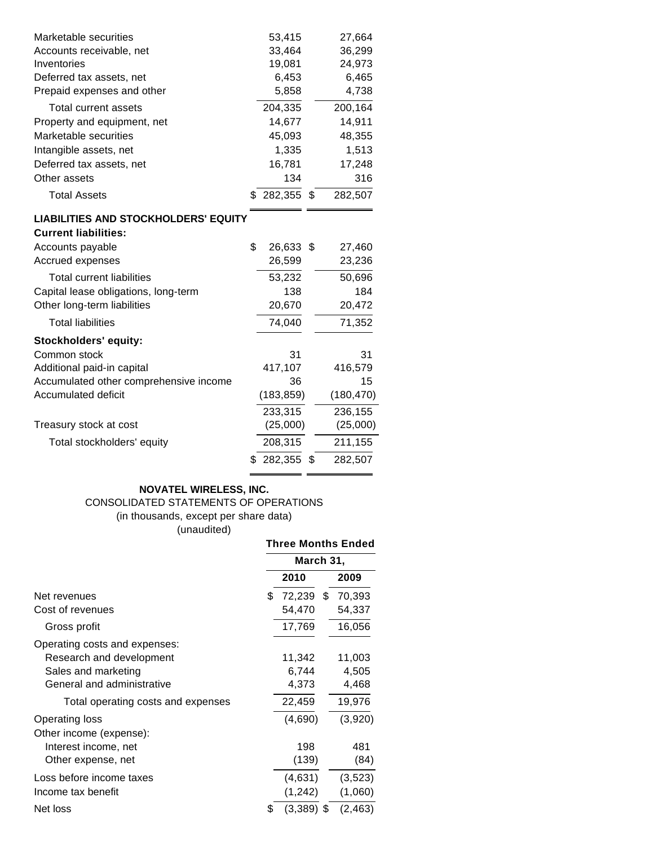| Marketable securities                                                      |    | 53,415     | 27,664        |
|----------------------------------------------------------------------------|----|------------|---------------|
| Accounts receivable, net                                                   |    | 33,464     | 36,299        |
| Inventories                                                                |    | 19,081     | 24,973        |
| Deferred tax assets, net                                                   |    | 6,453      | 6,465         |
| Prepaid expenses and other                                                 |    | 5,858      | 4,738         |
| Total current assets                                                       |    | 204,335    | 200,164       |
| Property and equipment, net                                                |    | 14,677     | 14,911        |
| Marketable securities                                                      |    | 45,093     | 48,355        |
| Intangible assets, net                                                     |    | 1,335      | 1,513         |
| Deferred tax assets, net                                                   |    | 16,781     | 17,248        |
| Other assets                                                               |    | 134        | 316           |
| <b>Total Assets</b>                                                        | S  | 282,355 \$ | 282,507       |
| <b>LIABILITIES AND STOCKHOLDERS' EQUITY</b><br><b>Current liabilities:</b> |    |            |               |
| Accounts payable                                                           | \$ | 26,633     | \$<br>27,460  |
| Accrued expenses                                                           |    | 26,599     | 23,236        |
| <b>Total current liabilities</b>                                           |    | 53,232     | 50,696        |
| Capital lease obligations, long-term                                       |    | 138        | 184           |
| Other long-term liabilities                                                |    | 20,670     | 20,472        |
| <b>Total liabilities</b>                                                   |    | 74,040     | 71,352        |
| <b>Stockholders' equity:</b>                                               |    |            |               |
| Common stock                                                               |    | 31         | 31            |
| Additional paid-in capital                                                 |    | 417,107    | 416,579       |
| Accumulated other comprehensive income                                     |    | 36         | 15            |
| <b>Accumulated deficit</b>                                                 |    | (183, 859) | (180, 470)    |
|                                                                            |    | 233,315    | 236,155       |
| Treasury stock at cost                                                     |    | (25,000)   | (25,000)      |
| Total stockholders' equity                                                 |    | 208,315    | 211,155       |
|                                                                            | \$ | 282,355    | \$<br>282,507 |

## **NOVATEL WIRELESS, INC.**

 $=$   $=$ 

## CONSOLIDATED STATEMENTS OF OPERATIONS (in thousands, except per share data) (unaudited)

|                                    | <b>Three Months Ended</b> |              |     |          |  |  |
|------------------------------------|---------------------------|--------------|-----|----------|--|--|
|                                    |                           | March 31,    |     |          |  |  |
|                                    |                           | 2010         |     | 2009     |  |  |
| Net revenues                       | \$                        | 72,239       | \$. | 70,393   |  |  |
| Cost of revenues                   |                           | 54,470       |     | 54,337   |  |  |
| Gross profit                       |                           | 17,769       |     | 16,056   |  |  |
| Operating costs and expenses:      |                           |              |     |          |  |  |
| Research and development           |                           | 11,342       |     | 11,003   |  |  |
| Sales and marketing                |                           | 6,744        |     | 4,505    |  |  |
| General and administrative         |                           | 4,373        |     | 4,468    |  |  |
| Total operating costs and expenses |                           | 22,459       |     | 19,976   |  |  |
| <b>Operating loss</b>              |                           | (4,690)      |     | (3,920)  |  |  |
| Other income (expense):            |                           |              |     |          |  |  |
| Interest income, net               |                           | 198          |     | 481      |  |  |
| Other expense, net                 |                           | (139)        |     | (84)     |  |  |
| Loss before income taxes           |                           | (4,631)      |     | (3, 523) |  |  |
| Income tax benefit                 |                           | (1, 242)     |     | (1,060)  |  |  |
| Net loss                           | S                         | $(3,389)$ \$ |     | (2, 463) |  |  |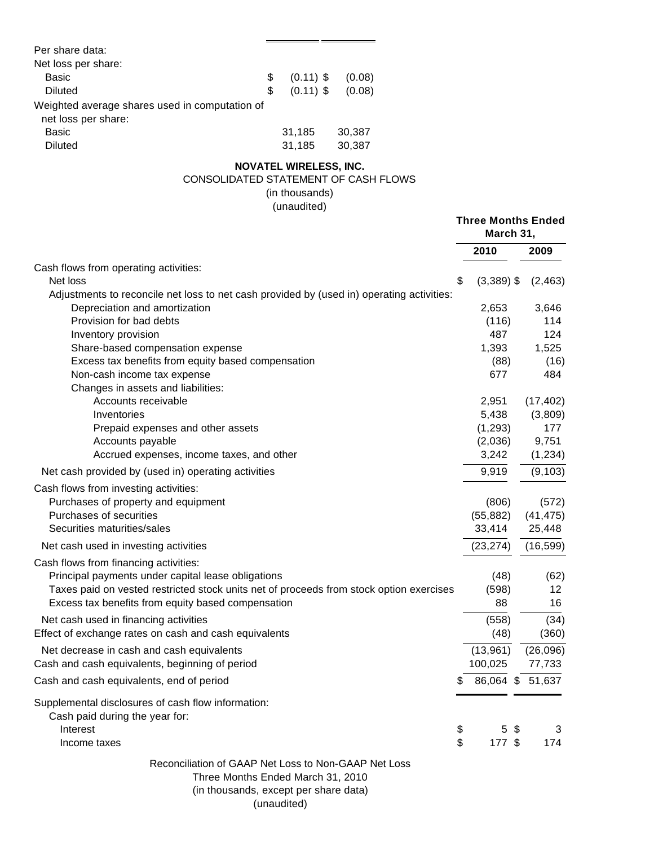| Per share data:                                                       |    |             |        |
|-----------------------------------------------------------------------|----|-------------|--------|
| Net loss per share:                                                   |    |             |        |
| Basic                                                                 | \$ | $(0.11)$ \$ | (0.08) |
| Diluted                                                               | S  | $(0.11)$ \$ | (0.08) |
| Weighted average shares used in computation of<br>net loss per share: |    |             |        |
| Basic                                                                 |    | 31,185      | 30,387 |
| <b>Diluted</b>                                                        |    | 31,185      | 30,387 |

# **NOVATEL WIRELESS, INC.**

# CONSOLIDATED STATEMENT OF CASH FLOWS

(in thousands) (unaudited)

|                                                                                                                                    | <b>Three Months Ended</b><br>March 31, |                 |
|------------------------------------------------------------------------------------------------------------------------------------|----------------------------------------|-----------------|
|                                                                                                                                    | 2010                                   | 2009            |
| Cash flows from operating activities:                                                                                              |                                        |                 |
| Net loss                                                                                                                           | \$<br>$(3,389)$ \$                     | (2, 463)        |
| Adjustments to reconcile net loss to net cash provided by (used in) operating activities:                                          |                                        |                 |
| Depreciation and amortization                                                                                                      | 2,653                                  | 3,646           |
| Provision for bad debts                                                                                                            | (116)                                  | 114             |
| Inventory provision                                                                                                                | 487                                    | 124             |
| Share-based compensation expense                                                                                                   | 1,393                                  | 1,525           |
| Excess tax benefits from equity based compensation                                                                                 | (88)                                   | (16)            |
| Non-cash income tax expense                                                                                                        | 677                                    | 484             |
| Changes in assets and liabilities:                                                                                                 |                                        |                 |
| Accounts receivable                                                                                                                | 2,951                                  | (17, 402)       |
| Inventories                                                                                                                        | 5,438                                  | (3,809)         |
| Prepaid expenses and other assets                                                                                                  | (1,293)                                | 177             |
| Accounts payable                                                                                                                   | (2,036)                                | 9,751           |
| Accrued expenses, income taxes, and other                                                                                          | 3,242                                  | (1,234)         |
| Net cash provided by (used in) operating activities                                                                                | 9,919                                  | (9, 103)        |
| Cash flows from investing activities:                                                                                              |                                        |                 |
| Purchases of property and equipment                                                                                                | (806)                                  | (572)           |
| Purchases of securities                                                                                                            | (55, 882)                              | (41, 475)       |
| Securities maturities/sales                                                                                                        | 33,414                                 | 25,448          |
| Net cash used in investing activities                                                                                              | (23, 274)                              | (16, 599)       |
| Cash flows from financing activities:                                                                                              |                                        |                 |
| Principal payments under capital lease obligations                                                                                 | (48)                                   | (62)            |
| Taxes paid on vested restricted stock units net of proceeds from stock option exercises                                            | (598)                                  | 12 <sup>2</sup> |
| Excess tax benefits from equity based compensation                                                                                 | 88                                     | 16              |
| Net cash used in financing activities                                                                                              | (558)                                  | (34)            |
| Effect of exchange rates on cash and cash equivalents                                                                              | (48)                                   | (360)           |
| Net decrease in cash and cash equivalents                                                                                          | (13,961)                               | (26,096)        |
| Cash and cash equivalents, beginning of period                                                                                     | 100,025                                | 77,733          |
| Cash and cash equivalents, end of period                                                                                           | 86,064 \$                              | 51,637          |
| Supplemental disclosures of cash flow information:                                                                                 |                                        |                 |
| Cash paid during the year for:                                                                                                     |                                        |                 |
| Interest                                                                                                                           | \$<br>5.<br>- S                        | 3               |
| Income taxes                                                                                                                       | \$<br>$177$ \$                         | 174             |
| Reconciliation of GAAP Net Loss to Non-GAAP Net Loss<br>Three Months Ended March 31, 2010<br>(in thousands, except per share data) |                                        |                 |

(unaudited)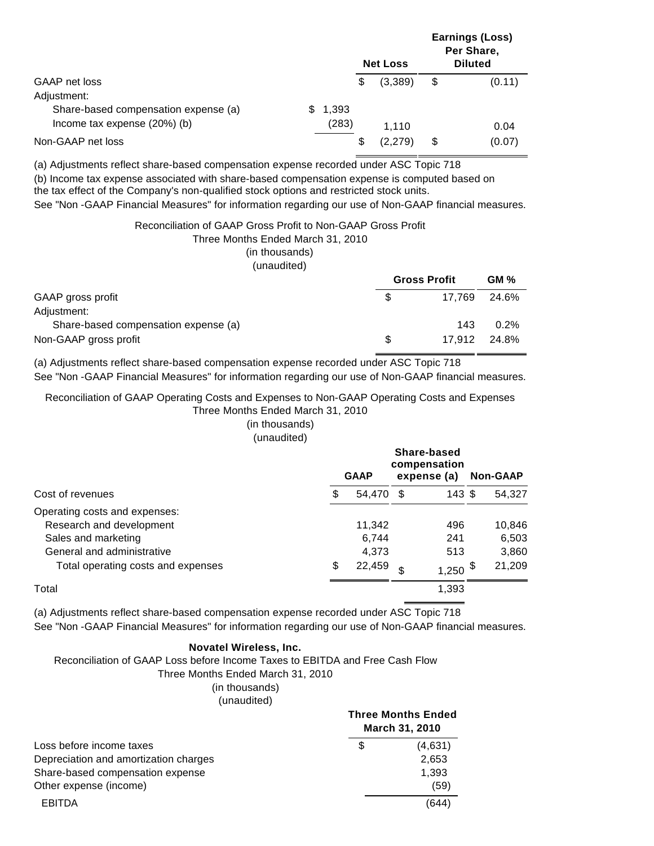|                                      |   |       |    | <b>Net Loss</b> | <b>Earnings (Loss)</b><br>Per Share,<br><b>Diluted</b> |
|--------------------------------------|---|-------|----|-----------------|--------------------------------------------------------|
| GAAP net loss                        |   |       | \$ | (3,389)         | \$<br>(0.11)                                           |
| Adjustment:                          |   |       |    |                 |                                                        |
| Share-based compensation expense (a) | S | 1,393 |    |                 |                                                        |
| Income tax expense (20%) (b)         |   | (283) |    | 1.110           | 0.04                                                   |
| Non-GAAP net loss                    |   |       | S  | (2, 279)        | \$<br>(0.07)                                           |

(a) Adjustments reflect share-based compensation expense recorded under ASC Topic 718

(b) Income tax expense associated with share-based compensation expense is computed based on the tax effect of the Company's non-qualified stock options and restricted stock units.

See "Non -GAAP Financial Measures" for information regarding our use of Non-GAAP financial measures.

# Reconciliation of GAAP Gross Profit to Non-GAAP Gross Profit Three Months Ended March 31, 2010

(in thousands) (unaudited)

|                                      |    | <b>Gross Profit</b> | GM%   |
|--------------------------------------|----|---------------------|-------|
| GAAP gross profit                    | S. | 17.769              | 24.6% |
| Adjustment:                          |    |                     |       |
| Share-based compensation expense (a) |    | 143                 | 0.2%  |
| Non-GAAP gross profit                | S  | 17.912              | 24.8% |

(a) Adjustments reflect share-based compensation expense recorded under ASC Topic 718 See "Non -GAAP Financial Measures" for information regarding our use of Non-GAAP financial measures.

Reconciliation of GAAP Operating Costs and Expenses to Non-GAAP Operating Costs and Expenses Three Months Ended March 31, 2010

(in thousands)

(unaudited)

|                                    | Share-based<br>compensation<br><b>GAAP</b><br>expense (a) |        |    |       | <b>Non-GAAP</b> |        |  |  |
|------------------------------------|-----------------------------------------------------------|--------|----|-------|-----------------|--------|--|--|
| Cost of revenues                   | \$.                                                       | 54,470 | \$ | 143S  |                 | 54.327 |  |  |
| Operating costs and expenses:      |                                                           |        |    |       |                 |        |  |  |
| Research and development           |                                                           | 11.342 |    | 496   |                 | 10,846 |  |  |
| Sales and marketing                |                                                           | 6.744  |    | 241   |                 | 6,503  |  |  |
| General and administrative         |                                                           | 4,373  |    | 513   |                 | 3,860  |  |  |
| Total operating costs and expenses | \$                                                        | 22,459 | \$ | 1,250 |                 | 21,209 |  |  |
| Total                              |                                                           |        |    | 1,393 |                 |        |  |  |

(a) Adjustments reflect share-based compensation expense recorded under ASC Topic 718 See "Non -GAAP Financial Measures" for information regarding our use of Non-GAAP financial measures.

## **Novatel Wireless, Inc.**

## Reconciliation of GAAP Loss before Income Taxes to EBITDA and Free Cash Flow

#### Three Months Ended March 31, 2010

# (in thousands)

(unaudited)

|                                       |     | <b>Three Months Ended</b><br><b>March 31, 2010</b> |
|---------------------------------------|-----|----------------------------------------------------|
| Loss before income taxes              | \$. | (4,631)                                            |
| Depreciation and amortization charges |     | 2,653                                              |
| Share-based compensation expense      |     | 1.393                                              |
| Other expense (income)                |     | (59)                                               |
| <b>EBITDA</b>                         |     | 644)                                               |